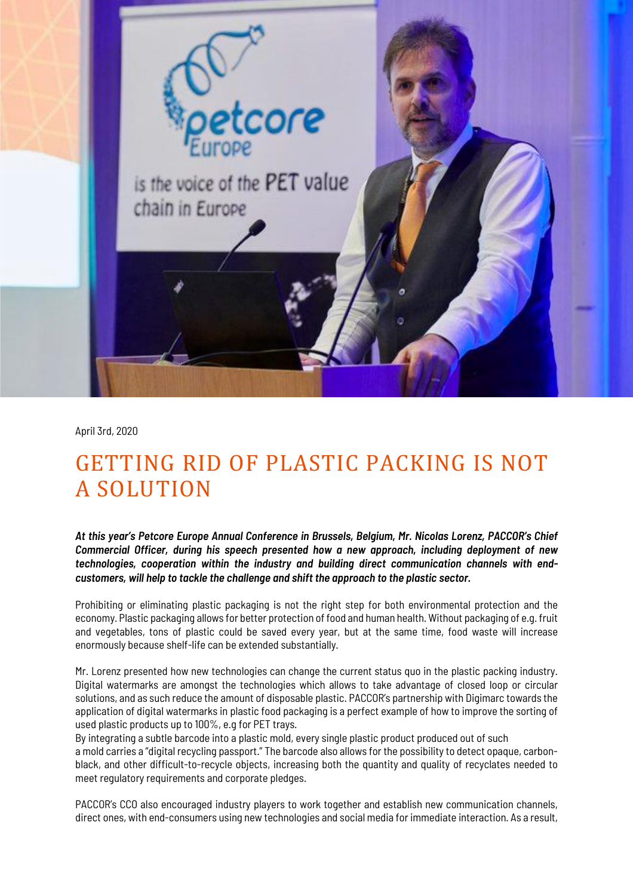

April 3rd, 2020

## GETTING RID OF PLASTIC PACKING IS NOT A SOLUTION

*At this year's Petcore Europe Annual Conference in Brussels, Belgium, Mr. Nicolas Lorenz, PACCOR's Chief Commercial Officer, during his speech presented how a new approach, including deployment of new technologies, cooperation within the industry and building direct communication channels with endcustomers, will help to tackle the challenge and shift the approach to the plastic sector.*

Prohibiting or eliminating plastic packaging is not the right step for both environmental protection and the economy. Plastic packaging allows for better protection of food and human health. Without packaging of e.g. fruit and vegetables, tons of plastic could be saved every year, but at the same time, food waste will increase enormously because shelf-life can be extended substantially.

Mr. Lorenz presented how new technologies can change the current status quo in the plastic packing industry. Digital watermarks are amongst the technologies which allows to take advantage of closed loop or circular solutions, and as such reduce the amount of disposable plastic. PACCOR's partnership with Digimarc towards the application of digital watermarks in plastic food packaging is a perfect example of how to improve the sorting of used plastic products up to 100%, e.g for PET trays.

By integrating a subtle barcode into a plastic mold, every single plastic product produced out of such a mold carries a "digital recycling passport." The barcode also allows for the possibility to detect opaque, carbonblack, and other difficult-to-recycle objects, increasing both the quantity and quality of recyclates needed to meet regulatory requirements and corporate pledges.

PACCOR's CCO also encouraged industry players to work together and establish new communication channels, direct ones, with end-consumers using new technologies and social media for immediate interaction. As a result,